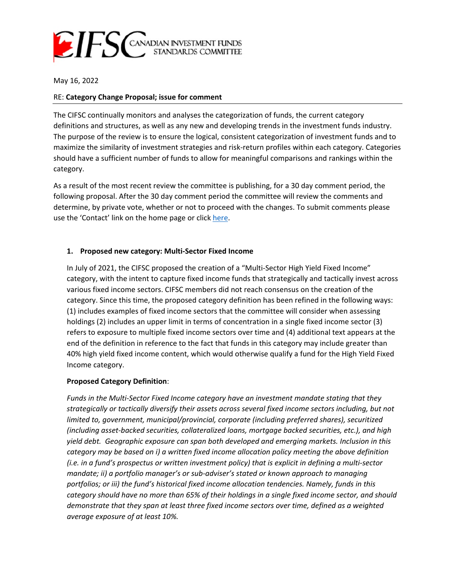

May 16, 2022

### RE: **Category Change Proposal; issue for comment**

The CIFSC continually monitors and analyses the categorization of funds, the current category definitions and structures, as well as any new and developing trends in the investment funds industry. The purpose of the review is to ensure the logical, consistent categorization of investment funds and to maximize the similarity of investment strategies and risk-return profiles within each category. Categories should have a sufficient number of funds to allow for meaningful comparisons and rankings within the category.

As a result of the most recent review the committee is publishing, for a 30 day comment period, the following proposal. After the 30 day comment period the committee will review the comments and determine, by private vote, whether or not to proceed with the changes. To submit comments please use the 'Contact' link on the home page or click [here.](http://www.cifsc.org/contact/)

# **1. Proposed new category: Multi-Sector Fixed Income**

In July of 2021, the CIFSC proposed the creation of a "Multi-Sector High Yield Fixed Income" category, with the intent to capture fixed income funds that strategically and tactically invest across various fixed income sectors. CIFSC members did not reach consensus on the creation of the category. Since this time, the proposed category definition has been refined in the following ways: (1) includes examples of fixed income sectors that the committee will consider when assessing holdings (2) includes an upper limit in terms of concentration in a single fixed income sector (3) refers to exposure to multiple fixed income sectors over time and (4) additional text appears at the end of the definition in reference to the fact that funds in this category may include greater than 40% high yield fixed income content, which would otherwise qualify a fund for the High Yield Fixed Income category.

# **Proposed Category Definition**:

*Funds in the Multi-Sector Fixed Income category have an investment mandate stating that they strategically or tactically diversify their assets across several fixed income sectors including, but not limited to, government, municipal/provincial, corporate (including preferred shares), securitized (including asset-backed securities, collateralized loans, mortgage backed securities, etc.), and high yield debt. Geographic exposure can span both developed and emerging markets. Inclusion in this category may be based on i) a written fixed income allocation policy meeting the above definition (i.e. in a fund's prospectus or written investment policy) that is explicit in defining a multi-sector mandate; ii) a portfolio manager's or sub-adviser's stated or known approach to managing portfolios; or iii) the fund's historical fixed income allocation tendencies. Namely, funds in this category should have no more than 65% of their holdings in a single fixed income sector, and should demonstrate that they span at least three fixed income sectors over time, defined as a weighted average exposure of at least 10%.*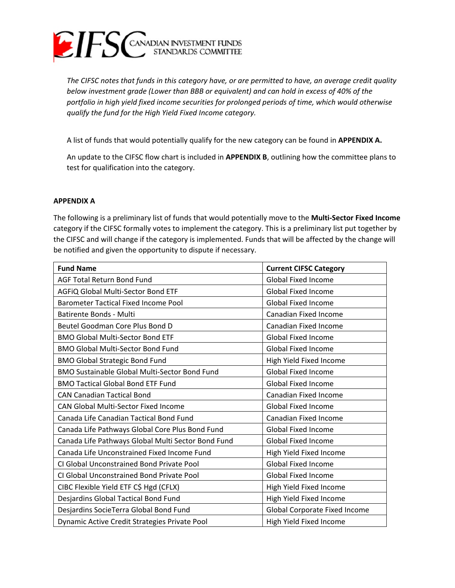

*The CIFSC notes that funds in this category have, or are permitted to have, an average credit quality below investment grade (Lower than BBB or equivalent) and can hold in excess of 40% of the portfolio in high yield fixed income securities for prolonged periods of time, which would otherwise qualify the fund for the High Yield Fixed Income category.* 

A list of funds that would potentially qualify for the new category can be found in **APPENDIX A.** 

An update to the CIFSC flow chart is included in **APPENDIX B**, outlining how the committee plans to test for qualification into the category.

#### **APPENDIX A**

The following is a preliminary list of funds that would potentially move to the **Multi-Sector Fixed Income** category if the CIFSC formally votes to implement the category. This is a preliminary list put together by the CIFSC and will change if the category is implemented. Funds that will be affected by the change will be notified and given the opportunity to dispute if necessary.

| <b>Fund Name</b>                                     | <b>Current CIFSC Category</b>        |
|------------------------------------------------------|--------------------------------------|
| <b>AGF Total Return Bond Fund</b>                    | <b>Global Fixed Income</b>           |
| AGFIQ Global Multi-Sector Bond ETF                   | <b>Global Fixed Income</b>           |
| <b>Barometer Tactical Fixed Income Pool</b>          | <b>Global Fixed Income</b>           |
| <b>Batirente Bonds - Multi</b>                       | Canadian Fixed Income                |
| Beutel Goodman Core Plus Bond D                      | Canadian Fixed Income                |
| <b>BMO Global Multi-Sector Bond ETF</b>              | <b>Global Fixed Income</b>           |
| <b>BMO Global Multi-Sector Bond Fund</b>             | <b>Global Fixed Income</b>           |
| <b>BMO Global Strategic Bond Fund</b>                | High Yield Fixed Income              |
| <b>BMO Sustainable Global Multi-Sector Bond Fund</b> | <b>Global Fixed Income</b>           |
| <b>BMO Tactical Global Bond ETF Fund</b>             | <b>Global Fixed Income</b>           |
| <b>CAN Canadian Tactical Bond</b>                    | Canadian Fixed Income                |
| <b>CAN Global Multi-Sector Fixed Income</b>          | <b>Global Fixed Income</b>           |
| Canada Life Canadian Tactical Bond Fund              | Canadian Fixed Income                |
| Canada Life Pathways Global Core Plus Bond Fund      | <b>Global Fixed Income</b>           |
| Canada Life Pathways Global Multi Sector Bond Fund   | <b>Global Fixed Income</b>           |
| Canada Life Unconstrained Fixed Income Fund          | High Yield Fixed Income              |
| CI Global Unconstrained Bond Private Pool            | <b>Global Fixed Income</b>           |
| CI Global Unconstrained Bond Private Pool            | <b>Global Fixed Income</b>           |
| CIBC Flexible Yield ETF C\$ Hgd (CFLX)               | High Yield Fixed Income              |
| Desjardins Global Tactical Bond Fund                 | High Yield Fixed Income              |
| Desjardins SocieTerra Global Bond Fund               | <b>Global Corporate Fixed Income</b> |
| Dynamic Active Credit Strategies Private Pool        | High Yield Fixed Income              |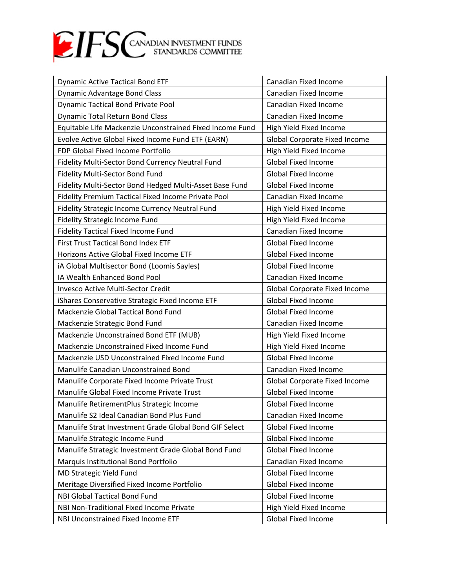

| <b>Dynamic Active Tactical Bond ETF</b>                  | Canadian Fixed Income                |
|----------------------------------------------------------|--------------------------------------|
| Dynamic Advantage Bond Class                             | Canadian Fixed Income                |
| <b>Dynamic Tactical Bond Private Pool</b>                | Canadian Fixed Income                |
| <b>Dynamic Total Return Bond Class</b>                   | Canadian Fixed Income                |
| Equitable Life Mackenzie Unconstrained Fixed Income Fund | High Yield Fixed Income              |
| Evolve Active Global Fixed Income Fund ETF (EARN)        | <b>Global Corporate Fixed Income</b> |
| FDP Global Fixed Income Portfolio                        | High Yield Fixed Income              |
| Fidelity Multi-Sector Bond Currency Neutral Fund         | <b>Global Fixed Income</b>           |
| Fidelity Multi-Sector Bond Fund                          | <b>Global Fixed Income</b>           |
| Fidelity Multi-Sector Bond Hedged Multi-Asset Base Fund  | <b>Global Fixed Income</b>           |
| Fidelity Premium Tactical Fixed Income Private Pool      | Canadian Fixed Income                |
| Fidelity Strategic Income Currency Neutral Fund          | High Yield Fixed Income              |
| <b>Fidelity Strategic Income Fund</b>                    | High Yield Fixed Income              |
| <b>Fidelity Tactical Fixed Income Fund</b>               | Canadian Fixed Income                |
| <b>First Trust Tactical Bond Index ETF</b>               | <b>Global Fixed Income</b>           |
| Horizons Active Global Fixed Income ETF                  | <b>Global Fixed Income</b>           |
| iA Global Multisector Bond (Loomis Sayles)               | <b>Global Fixed Income</b>           |
| IA Wealth Enhanced Bond Pool                             | Canadian Fixed Income                |
| <b>Invesco Active Multi-Sector Credit</b>                | <b>Global Corporate Fixed Income</b> |
| iShares Conservative Strategic Fixed Income ETF          | <b>Global Fixed Income</b>           |
| Mackenzie Global Tactical Bond Fund                      | <b>Global Fixed Income</b>           |
| Mackenzie Strategic Bond Fund                            | Canadian Fixed Income                |
| Mackenzie Unconstrained Bond ETF (MUB)                   | High Yield Fixed Income              |
| Mackenzie Unconstrained Fixed Income Fund                | High Yield Fixed Income              |
| Mackenzie USD Unconstrained Fixed Income Fund            | <b>Global Fixed Income</b>           |
| Manulife Canadian Unconstrained Bond                     | Canadian Fixed Income                |
| Manulife Corporate Fixed Income Private Trust            | <b>Global Corporate Fixed Income</b> |
| Manulife Global Fixed Income Private Trust               | <b>Global Fixed Income</b>           |
| Manulife RetirementPlus Strategic Income                 | <b>Global Fixed Income</b>           |
| Manulife S2 Ideal Canadian Bond Plus Fund                | Canadian Fixed Income                |
| Manulife Strat Investment Grade Global Bond GIF Select   | <b>Global Fixed Income</b>           |
| Manulife Strategic Income Fund                           | <b>Global Fixed Income</b>           |
| Manulife Strategic Investment Grade Global Bond Fund     | <b>Global Fixed Income</b>           |
| Marquis Institutional Bond Portfolio                     | Canadian Fixed Income                |
| MD Strategic Yield Fund                                  | <b>Global Fixed Income</b>           |
| Meritage Diversified Fixed Income Portfolio              | <b>Global Fixed Income</b>           |
| <b>NBI Global Tactical Bond Fund</b>                     | <b>Global Fixed Income</b>           |
| NBI Non-Traditional Fixed Income Private                 | High Yield Fixed Income              |
| NBI Unconstrained Fixed Income ETF                       | <b>Global Fixed Income</b>           |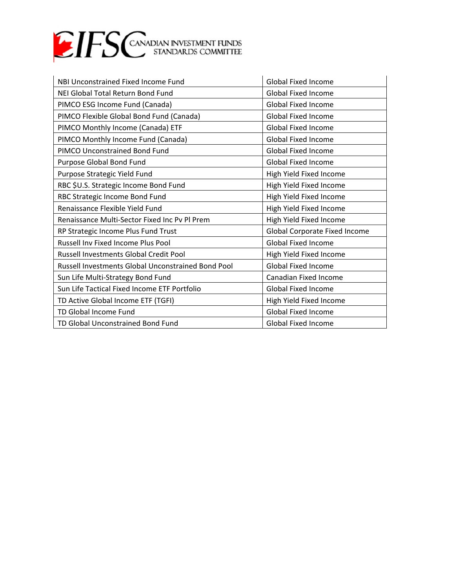

| NBI Unconstrained Fixed Income Fund                | <b>Global Fixed Income</b>    |
|----------------------------------------------------|-------------------------------|
| NEI Global Total Return Bond Fund                  | <b>Global Fixed Income</b>    |
| PIMCO ESG Income Fund (Canada)                     | <b>Global Fixed Income</b>    |
| PIMCO Flexible Global Bond Fund (Canada)           | <b>Global Fixed Income</b>    |
| PIMCO Monthly Income (Canada) ETF                  | <b>Global Fixed Income</b>    |
| PIMCO Monthly Income Fund (Canada)                 | <b>Global Fixed Income</b>    |
| PIMCO Unconstrained Bond Fund                      | <b>Global Fixed Income</b>    |
| Purpose Global Bond Fund                           | <b>Global Fixed Income</b>    |
| Purpose Strategic Yield Fund                       | High Yield Fixed Income       |
| RBC \$U.S. Strategic Income Bond Fund              | High Yield Fixed Income       |
| RBC Strategic Income Bond Fund                     | High Yield Fixed Income       |
| Renaissance Flexible Yield Fund                    | High Yield Fixed Income       |
| Renaissance Multi-Sector Fixed Inc Pv Pl Prem      | High Yield Fixed Income       |
| RP Strategic Income Plus Fund Trust                | Global Corporate Fixed Income |
| <b>Russell Inv Fixed Income Plus Pool</b>          | <b>Global Fixed Income</b>    |
| <b>Russell Investments Global Credit Pool</b>      | High Yield Fixed Income       |
| Russell Investments Global Unconstrained Bond Pool | <b>Global Fixed Income</b>    |
| Sun Life Multi-Strategy Bond Fund                  | Canadian Fixed Income         |
| Sun Life Tactical Fixed Income ETF Portfolio       | <b>Global Fixed Income</b>    |
| TD Active Global Income ETF (TGFI)                 | High Yield Fixed Income       |
| TD Global Income Fund                              | <b>Global Fixed Income</b>    |
| TD Global Unconstrained Bond Fund                  | <b>Global Fixed Income</b>    |